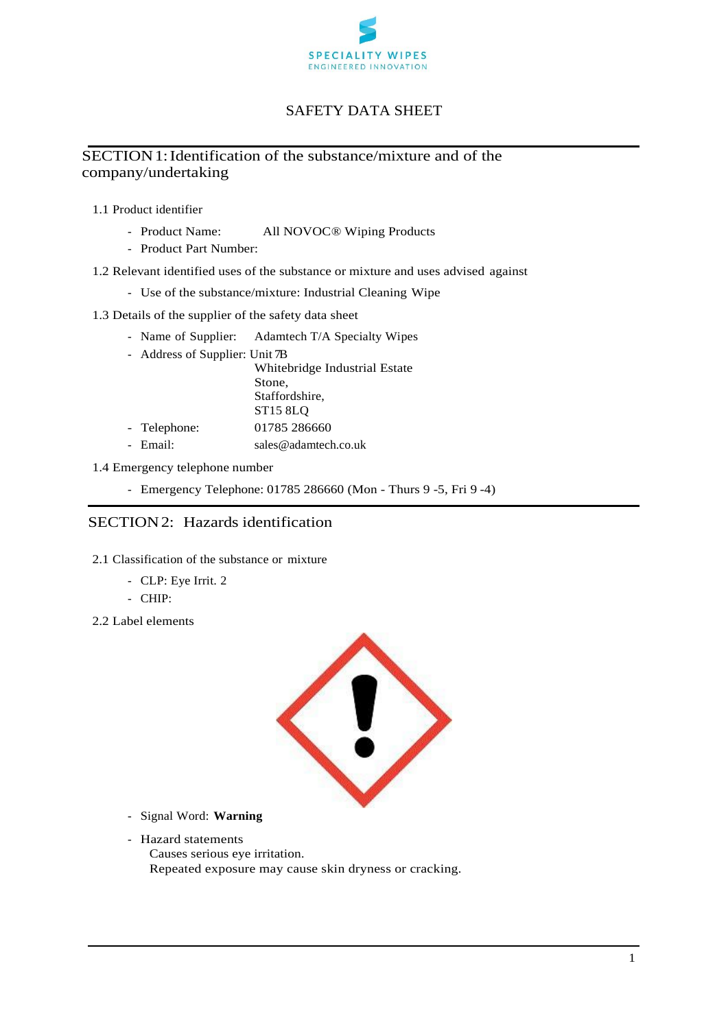

# SAFETY DATA SHEET

# SECTION 1: Identification of the substance/mixture and of the company/undertaking

- 1.1 Product identifier
	- Product Name: All NOVOC® Wiping Products
	- Product Part Number:
- 1.2 Relevant identified uses of the substance or mixture and uses advised against
	- Use of the substance/mixture: Industrial Cleaning Wipe
- 1.3 Details of the supplier of the safety data sheet
	- Name of Supplier: Adamtech T/A Specialty Wipes
	- Address of Supplier: Unit 7B

Whitebridge Industrial Estate Stone, Staffordshire, ST15 8LQ - Telephone: 01785 286660

- Email: sales@adamtech.co.uk

### 1.4 Emergency telephone number

- Emergency Telephone: 01785 286660 (Mon - Thurs 9 -5, Fri 9 -4)

## SECTION2: Hazards identification

- 2.1 Classification of the substance or mixture
	- CLP: Eye Irrit. 2
	- CHIP:
- 2.2 Label elements



- Signal Word: **Warning**
- Hazard statements
	- Causes serious eye irritation. Repeated exposure may cause skin dryness or cracking.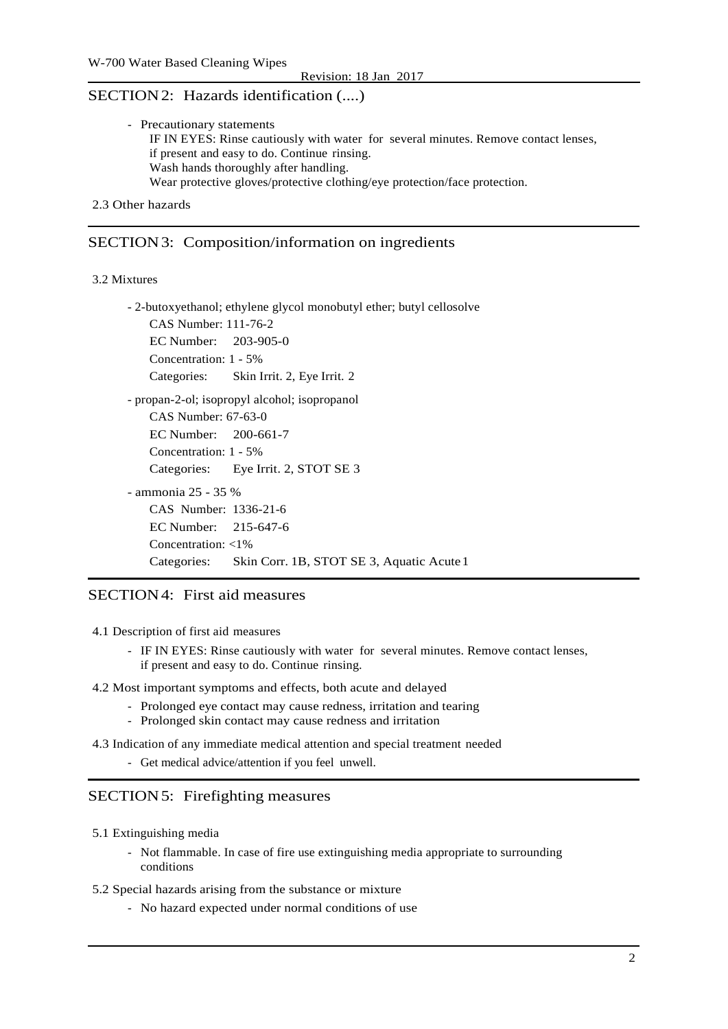## SECTION2: Hazards identification (....)

| - Precautionary statements                                                 |                                                                                     |
|----------------------------------------------------------------------------|-------------------------------------------------------------------------------------|
|                                                                            | IF IN EYES: Rinse cautiously with water for several minutes. Remove contact lenses, |
| if present and easy to do. Continue rinsing.                               |                                                                                     |
| Wash hands thoroughly after handling.                                      |                                                                                     |
| Wear protective gloves/protective clothing/eye protection/face protection. |                                                                                     |

```
2.3 Other hazards
```
### SECTION3: Composition/information on ingredients

#### 3.2 Mixtures

- 2-butoxyethanol; ethylene glycol monobutyl ether; butyl cellosolve CAS Number: 111-76-2 EC Number: 203-905-0 Concentration: 1 - 5% Categories: Skin Irrit. 2, Eye Irrit. 2 - propan-2-ol; isopropyl alcohol; isopropanol CAS Number: 67-63-0 EC Number: 200-661-7 Concentration: 1 - 5% Categories: Eye Irrit. 2, STOT SE 3 - ammonia 25 - 35 % CAS Number: 1336-21-6 EC Number: 215-647-6 Concentration: <1% Categories: Skin Corr. 1B, STOT SE 3, Aquatic Acute 1

## SECTION4: First aid measures

4.1 Description of first aid measures

- IF IN EYES: Rinse cautiously with water for several minutes. Remove contact lenses, if present and easy to do. Continue rinsing.

4.2 Most important symptoms and effects, both acute and delayed

- Prolonged eye contact may cause redness, irritation and tearing
- Prolonged skin contact may cause redness and irritation
- 4.3 Indication of any immediate medical attention and special treatment needed
	- Get medical advice/attention if you feel unwell.

## SECTION 5: Firefighting measures

- 5.1 Extinguishing media
	- Not flammable. In case of fire use extinguishing media appropriate to surrounding conditions
- 5.2 Special hazards arising from the substance or mixture
	- No hazard expected under normal conditions of use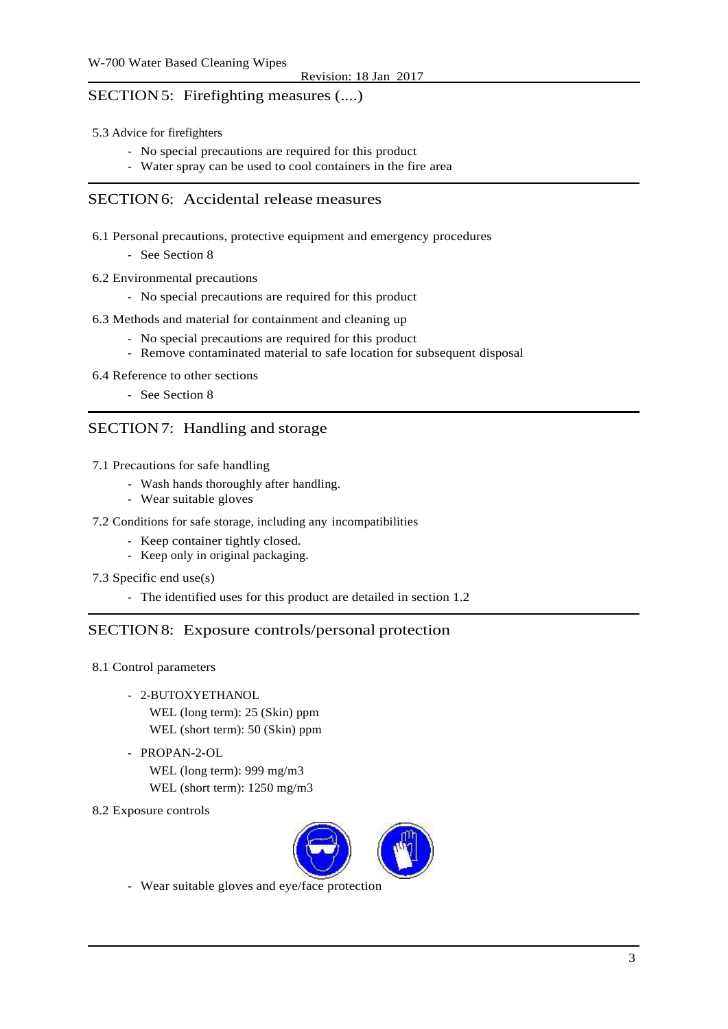## SECTION5: Firefighting measures (....)

- 5.3 Advice for firefighters
	- No special precautions are required for this product
	- Water spray can be used to cool containers in the fire area

## SECTION6: Accidental release measures

6.1 Personal precautions, protective equipment and emergency procedures

- See Section 8

- 6.2 Environmental precautions
	- No special precautions are required for this product
- 6.3 Methods and material for containment and cleaning up
	- No special precautions are required for this product
	- Remove contaminated material to safe location for subsequent disposal
- 6.4 Reference to other sections
	- See Section 8

## SECTION7: Handling and storage

- 7.1 Precautions for safe handling
	- Wash hands thoroughly after handling.
	- Wear suitable gloves
- 7.2 Conditions for safe storage, including any incompatibilities
	- Keep container tightly closed.
	- Keep only in original packaging.
- 7.3 Specific end use(s)
	- The identified uses for this product are detailed in section 1.2

## SECTION8: Exposure controls/personal protection

- 8.1 Control parameters
	- 2-BUTOXYETHANOL
		- WEL (long term): 25 (Skin) ppm WEL (short term): 50 (Skin) ppm
	- PROPAN-2-OL
		- WEL (long term): 999 mg/m3 WEL (short term): 1250 mg/m3
- 8.2 Exposure controls



- Wear suitable gloves and eye/face protection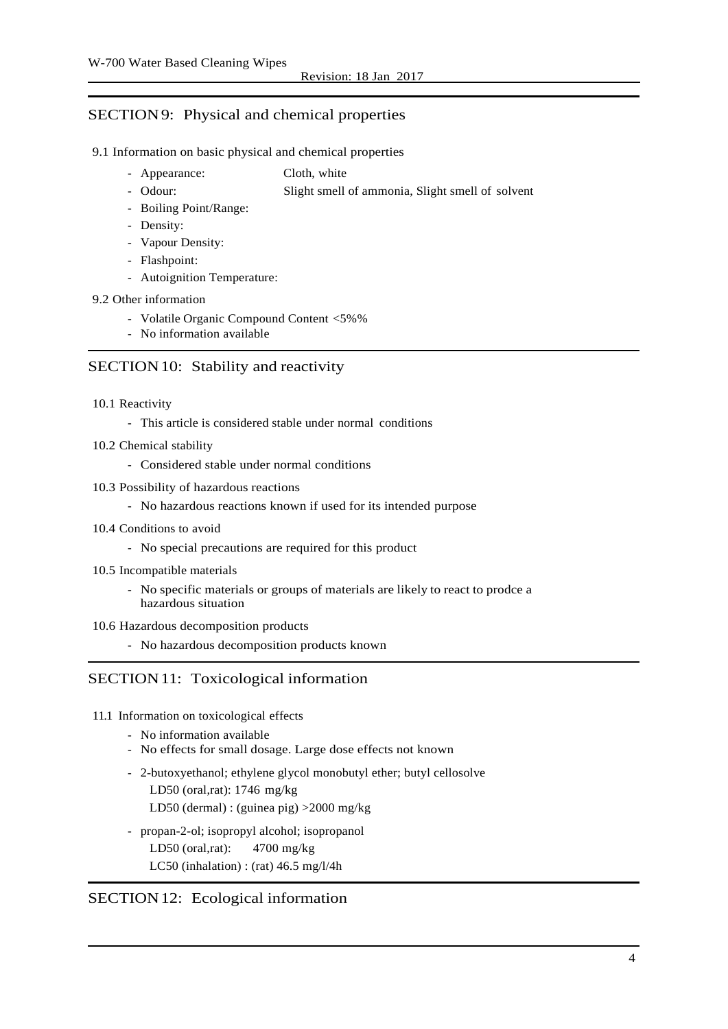## SECTION9: Physical and chemical properties

#### 9.1 Information on basic physical and chemical properties

- Appearance: Cloth, white
- Odour: Slight smell of ammonia, Slight smell of solvent
- Boiling Point/Range:
- Density:
- Vapour Density:
- Flashpoint:
- Autoignition Temperature:

#### 9.2 Other information

- Volatile Organic Compound Content <5%%
- No information available

## SECTION 10: Stability and reactivity

#### 10.1 Reactivity

- This article is considered stable under normal conditions
- 10.2 Chemical stability
	- Considered stable under normal conditions
- 10.3 Possibility of hazardous reactions
	- No hazardous reactions known if used for its intended purpose
- 10.4 Conditions to avoid
	- No special precautions are required for this product
- 10.5 Incompatible materials
	- No specific materials or groups of materials are likely to react to prodce a hazardous situation
- 10.6 Hazardous decomposition products
	- No hazardous decomposition products known

## SECTION 11: Toxicological information

- 11.1 Information on toxicological effects
	- No information available
	- No effects for small dosage. Large dose effects not known
	- 2-butoxyethanol; ethylene glycol monobutyl ether; butyl cellosolve LD50 (oral,rat): 1746 mg/kg LD50 (dermal) : (guinea pig) >2000 mg/kg
	- propan-2-ol; isopropyl alcohol; isopropanol LD50 (oral,rat): 4700 mg/kg LC50 (inhalation) : (rat)  $46.5 \text{ mg}/\frac{1}{4}$ h

## SECTION12: Ecological information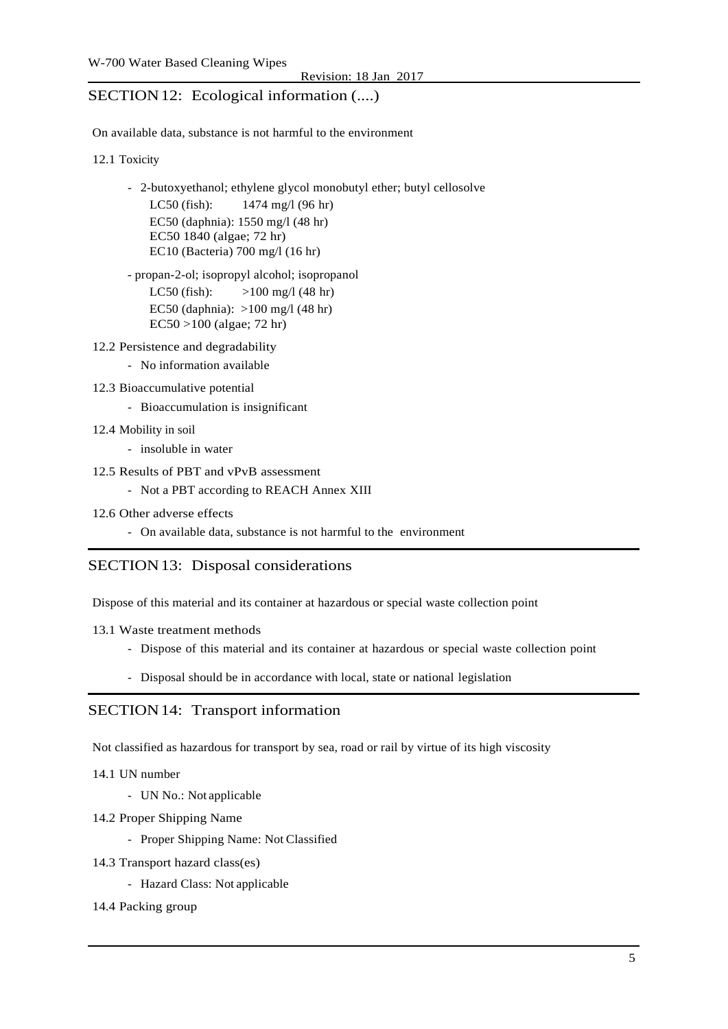## SECTION 12: Ecological information  $(...)$

On available data, substance is not harmful to the environment

12.1 Toxicity

- 2-butoxyethanol; ethylene glycol monobutyl ether; butyl cellosolve LC50 (fish): 1474 mg/l (96 hr) EC50 (daphnia): 1550 mg/l (48 hr) EC50 1840 (algae; 72 hr) EC10 (Bacteria) 700 mg/l (16 hr)

- propan-2-ol; isopropyl alcohol; isopropanol LC50 (fish):  $>100 \text{ mg}/1 (48 \text{ hr})$ EC50 (daphnia): >100 mg/l (48 hr) EC50 >100 (algae; 72 hr)

12.2 Persistence and degradability

- No information available
- 12.3 Bioaccumulative potential
	- Bioaccumulation is insignificant
- 12.4 Mobility in soil
	- insoluble in water
- 12.5 Results of PBT and vPvB assessment
	- Not a PBT according to REACH Annex XIII
- 12.6 Other adverse effects
	- On available data, substance is not harmful to the environment

#### SECTION13: Disposal considerations

Dispose of this material and its container at hazardous or special waste collection point

- 13.1 Waste treatment methods
	- Dispose of this material and its container at hazardous or special waste collection point
	- Disposal should be in accordance with local, state or national legislation

#### SECTION14: Transport information

Not classified as hazardous for transport by sea, road or rail by virtue of its high viscosity

14.1 UN number

- UN No.: Not applicable
- 14.2 Proper Shipping Name
	- Proper Shipping Name: Not Classified
- 14.3 Transport hazard class(es)
	- Hazard Class: Not applicable

#### 14.4 Packing group